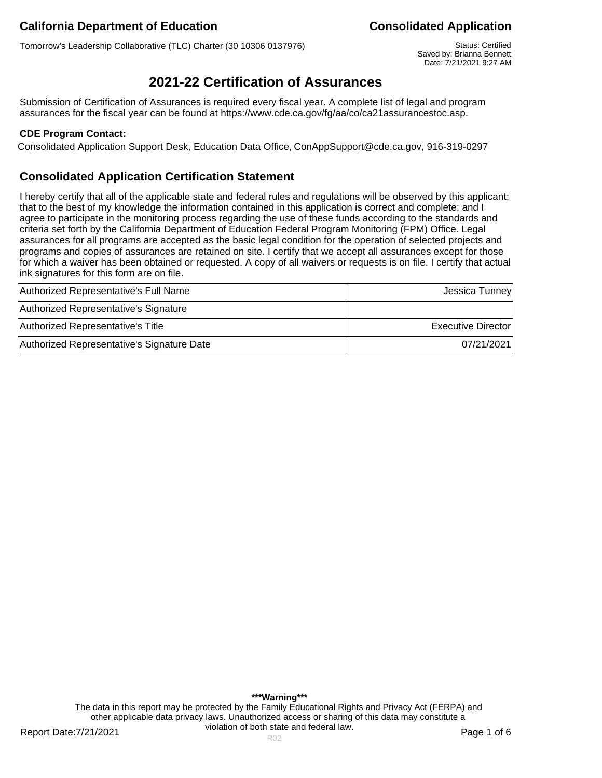Tomorrow's Leadership Collaborative (TLC) Charter (30 10306 0137976) Status: Certified

Saved by: Brianna Bennett Date: 7/21/2021 9:27 AM

# **2021-22 Certification of Assurances**

Submission of Certification of Assurances is required every fiscal year. A complete list of legal and program assurances for the fiscal year can be found at https://www.cde.ca.gov/fg/aa/co/ca21assurancestoc.asp.

### **CDE Program Contact:**

Consolidated Application Support Desk, Education Data Office, ConAppSupport@cde.ca.gov, 916-319-0297

## **Consolidated Application Certification Statement**

I hereby certify that all of the applicable state and federal rules and regulations will be observed by this applicant; that to the best of my knowledge the information contained in this application is correct and complete; and I agree to participate in the monitoring process regarding the use of these funds according to the standards and criteria set forth by the California Department of Education Federal Program Monitoring (FPM) Office. Legal assurances for all programs are accepted as the basic legal condition for the operation of selected projects and programs and copies of assurances are retained on site. I certify that we accept all assurances except for those for which a waiver has been obtained or requested. A copy of all waivers or requests is on file. I certify that actual ink signatures for this form are on file.

| Authorized Representative's Full Name      | Jessica Tunney     |
|--------------------------------------------|--------------------|
| Authorized Representative's Signature      |                    |
| Authorized Representative's Title          | Executive Director |
| Authorized Representative's Signature Date | 07/21/2021         |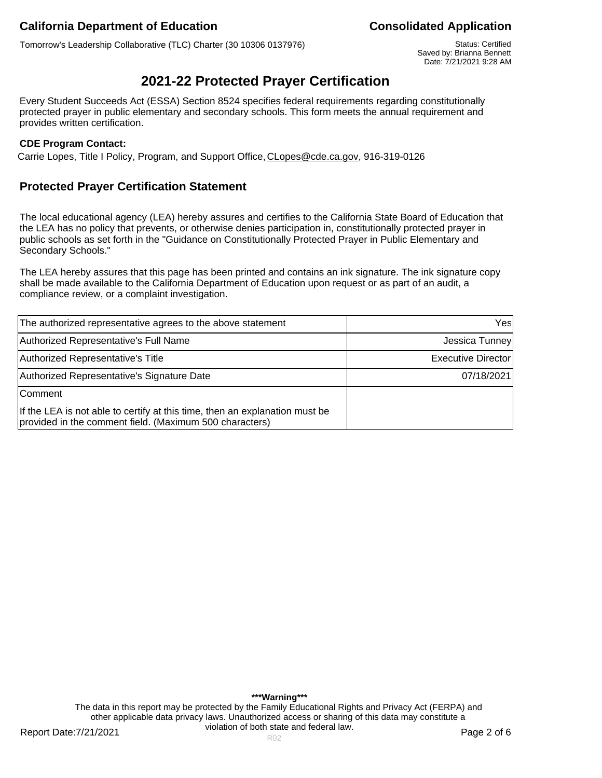Tomorrow's Leadership Collaborative (TLC) Charter (30 10306 0137976) Status: Certified

Saved by: Brianna Bennett Date: 7/21/2021 9:28 AM

# **2021-22 Protected Prayer Certification**

Every Student Succeeds Act (ESSA) Section 8524 specifies federal requirements regarding constitutionally protected prayer in public elementary and secondary schools. This form meets the annual requirement and provides written certification.

### **CDE Program Contact:**

Carrie Lopes, Title I Policy, Program, and Support Office, CLopes@cde.ca.gov, 916-319-0126

## **Protected Prayer Certification Statement**

The local educational agency (LEA) hereby assures and certifies to the California State Board of Education that the LEA has no policy that prevents, or otherwise denies participation in, constitutionally protected prayer in public schools as set forth in the "Guidance on Constitutionally Protected Prayer in Public Elementary and Secondary Schools."

The LEA hereby assures that this page has been printed and contains an ink signature. The ink signature copy shall be made available to the California Department of Education upon request or as part of an audit, a compliance review, or a complaint investigation.

| The authorized representative agrees to the above statement                                                                            | Yesl               |
|----------------------------------------------------------------------------------------------------------------------------------------|--------------------|
| Authorized Representative's Full Name                                                                                                  | Jessica Tunney     |
| Authorized Representative's Title                                                                                                      | Executive Director |
| Authorized Representative's Signature Date                                                                                             | 07/18/2021         |
| <b>Comment</b>                                                                                                                         |                    |
| If the LEA is not able to certify at this time, then an explanation must be<br>provided in the comment field. (Maximum 500 characters) |                    |

**\*\*\*Warning\*\*\*** The data in this report may be protected by the Family Educational Rights and Privacy Act (FERPA) and other applicable data privacy laws. Unauthorized access or sharing of this data may constitute a violation of both state and federal law.

Report Date:7/21/2021 **Page 2 of 6** Report Date:7/21/2021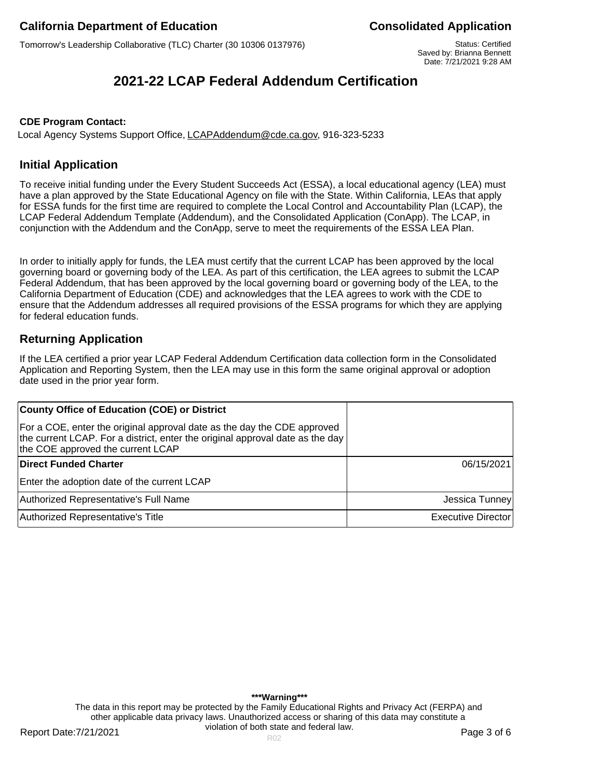Saved by: Brianna Bennett Date: 7/21/2021 9:28 AM

# **2021-22 LCAP Federal Addendum Certification**

### **CDE Program Contact:**

Local Agency Systems Support Office, LCAPAddendum@cde.ca.gov, 916-323-5233

### **Initial Application**

To receive initial funding under the Every Student Succeeds Act (ESSA), a local educational agency (LEA) must have a plan approved by the State Educational Agency on file with the State. Within California, LEAs that apply for ESSA funds for the first time are required to complete the Local Control and Accountability Plan (LCAP), the LCAP Federal Addendum Template (Addendum), and the Consolidated Application (ConApp). The LCAP, in conjunction with the Addendum and the ConApp, serve to meet the requirements of the ESSA LEA Plan.

In order to initially apply for funds, the LEA must certify that the current LCAP has been approved by the local governing board or governing body of the LEA. As part of this certification, the LEA agrees to submit the LCAP Federal Addendum, that has been approved by the local governing board or governing body of the LEA, to the California Department of Education (CDE) and acknowledges that the LEA agrees to work with the CDE to ensure that the Addendum addresses all required provisions of the ESSA programs for which they are applying for federal education funds.

### **Returning Application**

If the LEA certified a prior year LCAP Federal Addendum Certification data collection form in the Consolidated Application and Reporting System, then the LEA may use in this form the same original approval or adoption date used in the prior year form.

| County Office of Education (COE) or District                                                                                                                                                  |                    |
|-----------------------------------------------------------------------------------------------------------------------------------------------------------------------------------------------|--------------------|
| For a COE, enter the original approval date as the day the CDE approved<br>the current LCAP. For a district, enter the original approval date as the day<br>the COE approved the current LCAP |                    |
| <b>Direct Funded Charter</b>                                                                                                                                                                  | 06/15/2021         |
| Enter the adoption date of the current LCAP                                                                                                                                                   |                    |
| Authorized Representative's Full Name                                                                                                                                                         | Jessica Tunney     |
| Authorized Representative's Title                                                                                                                                                             | Executive Director |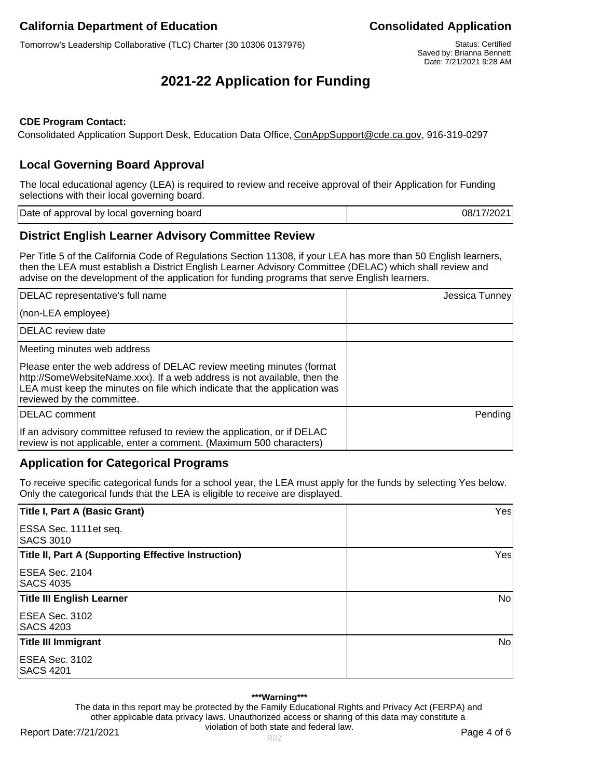Saved by: Brianna Bennett Date: 7/21/2021 9:28 AM

# **2021-22 Application for Funding**

### **CDE Program Contact:**

Consolidated Application Support Desk, Education Data Office, ConAppSupport@cde.ca.gov, 916-319-0297

## **Local Governing Board Approval**

The local educational agency (LEA) is required to review and receive approval of their Application for Funding selections with their local governing board.

| Date of approval by local governing board | 08/17/2021 |
|-------------------------------------------|------------|
|                                           |            |

### **District English Learner Advisory Committee Review**

Per Title 5 of the California Code of Regulations Section 11308, if your LEA has more than 50 English learners, then the LEA must establish a District English Learner Advisory Committee (DELAC) which shall review and advise on the development of the application for funding programs that serve English learners.

| DELAC representative's full name                                                                                                                                                                                                                            | Jessica Tunney |
|-------------------------------------------------------------------------------------------------------------------------------------------------------------------------------------------------------------------------------------------------------------|----------------|
| (non-LEA employee)                                                                                                                                                                                                                                          |                |
| DELAC review date                                                                                                                                                                                                                                           |                |
| Meeting minutes web address                                                                                                                                                                                                                                 |                |
| Please enter the web address of DELAC review meeting minutes (format<br>http://SomeWebsiteName.xxx). If a web address is not available, then the<br>LEA must keep the minutes on file which indicate that the application was<br>reviewed by the committee. |                |
| <b>IDELAC</b> comment                                                                                                                                                                                                                                       | Pending        |
| If an advisory committee refused to review the application, or if DELAC<br>review is not applicable, enter a comment. (Maximum 500 characters)                                                                                                              |                |

## **Application for Categorical Programs**

To receive specific categorical funds for a school year, the LEA must apply for the funds by selecting Yes below. Only the categorical funds that the LEA is eligible to receive are displayed.

| Title I, Part A (Basic Grant)                              | Yesl                   |
|------------------------------------------------------------|------------------------|
| ESSA Sec. 1111 et seq.<br><b>SACS 3010</b>                 |                        |
| <b>Title II, Part A (Supporting Effective Instruction)</b> | Yesl                   |
| ESEA Sec. 2104<br><b>SACS 4035</b>                         |                        |
| <b>Title III English Learner</b>                           | $\overline{N_{\rm O}}$ |
| ESEA Sec. 3102<br><b>SACS 4203</b>                         |                        |
| <b>Title III Immigrant</b>                                 | $\overline{N}$         |
| ESEA Sec. 3102<br><b>SACS 4201</b>                         |                        |

#### **\*\*\*Warning\*\*\***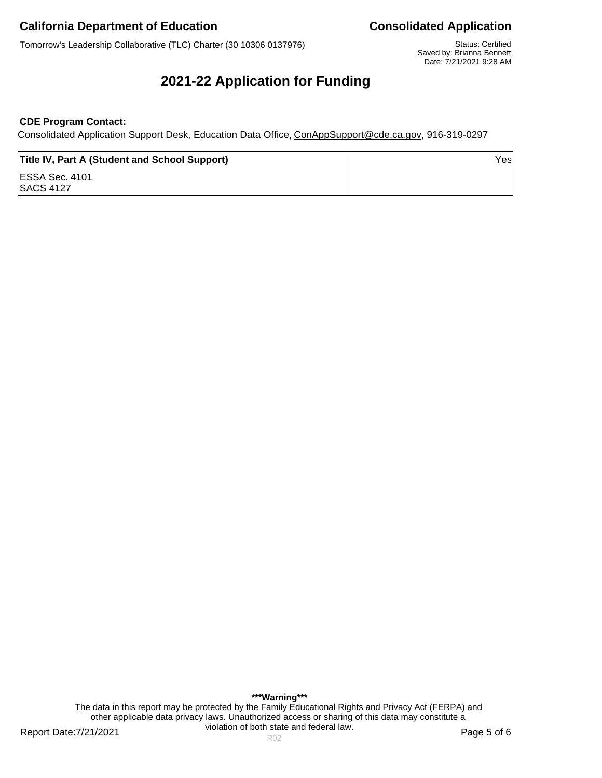Tomorrow's Leadership Collaborative (TLC) Charter (30 10306 0137976) Status: Certified

Saved by: Brianna Bennett Date: 7/21/2021 9:28 AM

# **2021-22 Application for Funding**

### **CDE Program Contact:**

Consolidated Application Support Desk, Education Data Office, ConAppSupport@cde.ca.gov, 916-319-0297

| Title IV, Part A (Student and School Support) | Yes |
|-----------------------------------------------|-----|
| ESSA Sec. 4101<br> SACS 4127                  |     |

**\*\*\*Warning\*\*\*** The data in this report may be protected by the Family Educational Rights and Privacy Act (FERPA) and other applicable data privacy laws. Unauthorized access or sharing of this data may constitute a violation of both state and federal law.

Report Date:7/21/2021 **Page 5 of 6** Report Date:7/21/2021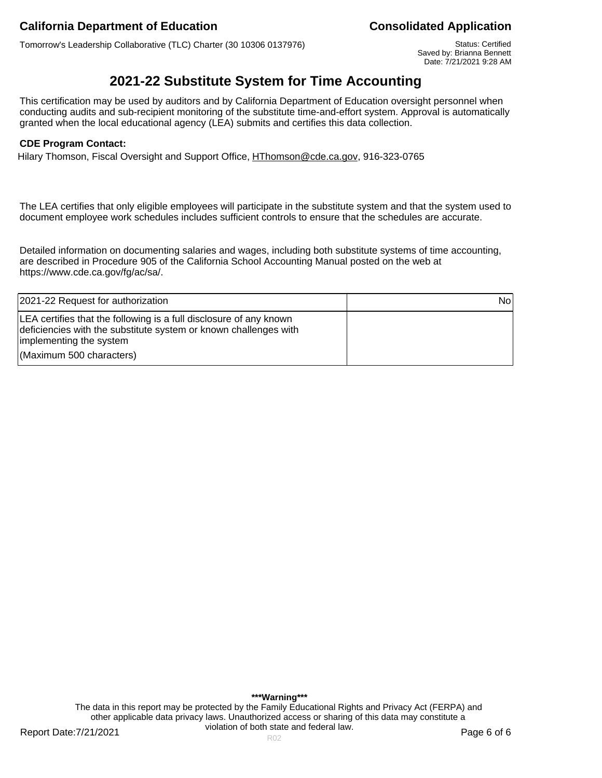# **California Department of Education California Department of Education**

Tomorrow's Leadership Collaborative (TLC) Charter (30 10306 0137976) Status: Certified

Saved by: Brianna Bennett Date: 7/21/2021 9:28 AM

# **2021-22 Substitute System for Time Accounting**

This certification may be used by auditors and by California Department of Education oversight personnel when conducting audits and sub-recipient monitoring of the substitute time-and-effort system. Approval is automatically granted when the local educational agency (LEA) submits and certifies this data collection.

### **CDE Program Contact:**

Hilary Thomson, Fiscal Oversight and Support Office, HThomson@cde.ca.gov, 916-323-0765

The LEA certifies that only eligible employees will participate in the substitute system and that the system used to document employee work schedules includes sufficient controls to ensure that the schedules are accurate.

Detailed information on documenting salaries and wages, including both substitute systems of time accounting, are described in Procedure 905 of the California School Accounting Manual posted on the web at https://www.cde.ca.gov/fg/ac/sa/.

| 2021-22 Request for authorization                                                                                                                                 | Nol |
|-------------------------------------------------------------------------------------------------------------------------------------------------------------------|-----|
| LEA certifies that the following is a full disclosure of any known<br>deficiencies with the substitute system or known challenges with<br>implementing the system |     |
| (Maximum 500 characters)                                                                                                                                          |     |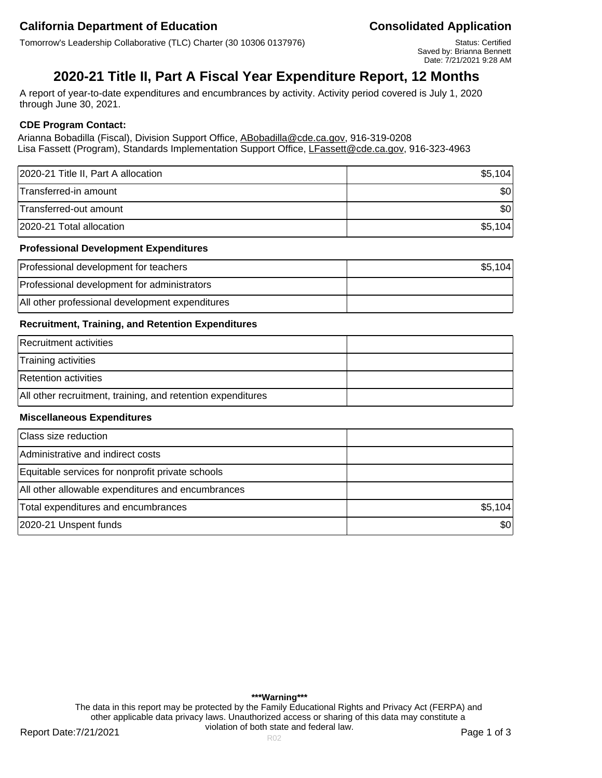Saved by: Brianna Bennett Date: 7/21/2021 9:28 AM

# **2020-21 Title II, Part A Fiscal Year Expenditure Report, 12 Months**

A report of year-to-date expenditures and encumbrances by activity. Activity period covered is July 1, 2020 through June 30, 2021.

### **CDE Program Contact:**

Arianna Bobadilla (Fiscal), Division Support Office, ABobadilla@cde.ca.gov, 916-319-0208 Lisa Fassett (Program), Standards Implementation Support Office, LFassett@cde.ca.gov, 916-323-4963

| 2020-21 Title II, Part A allocation | \$5,104    |
|-------------------------------------|------------|
| Transferred-in amount               | <b>SOI</b> |
| Transferred-out amount              | \$OI       |
| 2020-21 Total allocation            | \$5,104    |

### **Professional Development Expenditures**

| Professional development for teachers           | \$5,104 |
|-------------------------------------------------|---------|
| Professional development for administrators     |         |
| All other professional development expenditures |         |

### **Recruitment, Training, and Retention Expenditures**

| Recruitment activities                                      |  |
|-------------------------------------------------------------|--|
| Training activities                                         |  |
| <b>Retention activities</b>                                 |  |
| All other recruitment, training, and retention expenditures |  |

#### **Miscellaneous Expenditures**

| Class size reduction                              |         |
|---------------------------------------------------|---------|
| Administrative and indirect costs                 |         |
| Equitable services for nonprofit private schools  |         |
| All other allowable expenditures and encumbrances |         |
| Total expenditures and encumbrances               | \$5,104 |
| 2020-21 Unspent funds                             | \$0     |

**\*\*\*Warning\*\*\*** The data in this report may be protected by the Family Educational Rights and Privacy Act (FERPA) and other applicable data privacy laws. Unauthorized access or sharing of this data may constitute a violation of both state and federal law.

Report Date:7/21/2021 **Page 1 of 3** Report Date:7/21/2021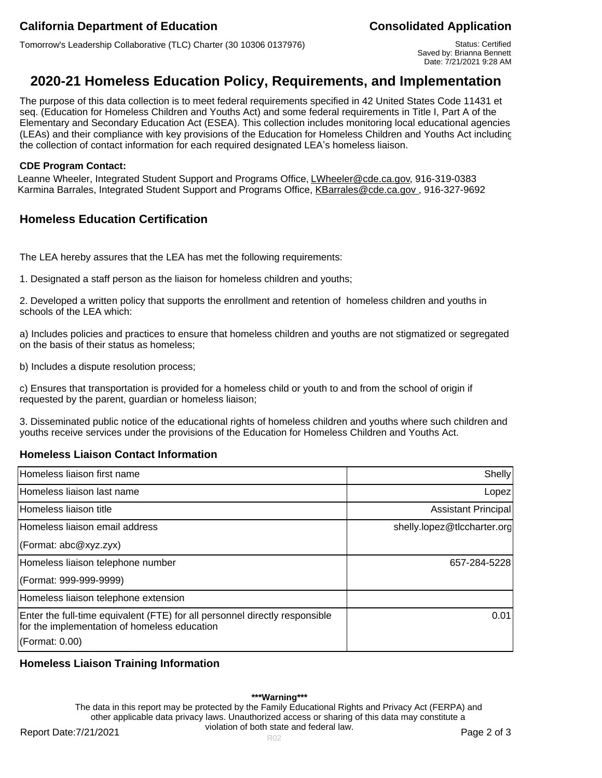Tomorrow's Leadership Collaborative (TLC) Charter (30 10306 0137976) Status: Certified

Saved by: Brianna Bennett Date: 7/21/2021 9:28 AM

# **2020-21 Homeless Education Policy, Requirements, and Implementation**

The purpose of this data collection is to meet federal requirements specified in 42 United States Code 11431 et seq. (Education for Homeless Children and Youths Act) and some federal requirements in Title I, Part A of the Elementary and Secondary Education Act (ESEA). This collection includes monitoring local educational agencies (LEAs) and their compliance with key provisions of the Education for Homeless Children and Youths Act including the collection of contact information for each required designated LEA's homeless liaison.

#### **CDE Program Contact:**

Leanne Wheeler, Integrated Student Support and Programs Office, LWheeler@cde.ca.gov, 916-319-0383 Karmina Barrales, Integrated Student Support and Programs Office, KBarrales@cde.ca.gov , 916-327-9692

### **Homeless Education Certification**

The LEA hereby assures that the LEA has met the following requirements:

1. Designated a staff person as the liaison for homeless children and youths;

2. Developed a written policy that supports the enrollment and retention of homeless children and youths in schools of the LEA which:

a) Includes policies and practices to ensure that homeless children and youths are not stigmatized or segregated on the basis of their status as homeless;

b) Includes a dispute resolution process;

c) Ensures that transportation is provided for a homeless child or youth to and from the school of origin if requested by the parent, guardian or homeless liaison;

3. Disseminated public notice of the educational rights of homeless children and youths where such children and youths receive services under the provisions of the Education for Homeless Children and Youths Act.

### **Homeless Liaison Contact Information**

| Homeless liaison first name                                                                                                 | Shelly                      |
|-----------------------------------------------------------------------------------------------------------------------------|-----------------------------|
| Homeless liaison last name                                                                                                  | Lopez                       |
| Homeless liaison title                                                                                                      | Assistant Principal         |
| Homeless liaison email address                                                                                              | shelly.lopez@tlccharter.org |
| $ $ (Format: abc@xyz.zyx)                                                                                                   |                             |
| Homeless liaison telephone number                                                                                           | 657-284-5228                |
| (Format: 999-999-9999)                                                                                                      |                             |
| Homeless liaison telephone extension                                                                                        |                             |
| Enter the full-time equivalent (FTE) for all personnel directly responsible<br>for the implementation of homeless education | 0.01                        |
| $ $ (Format: 0.00)                                                                                                          |                             |

### **Homeless Liaison Training Information**

#### **\*\*\*Warning\*\*\***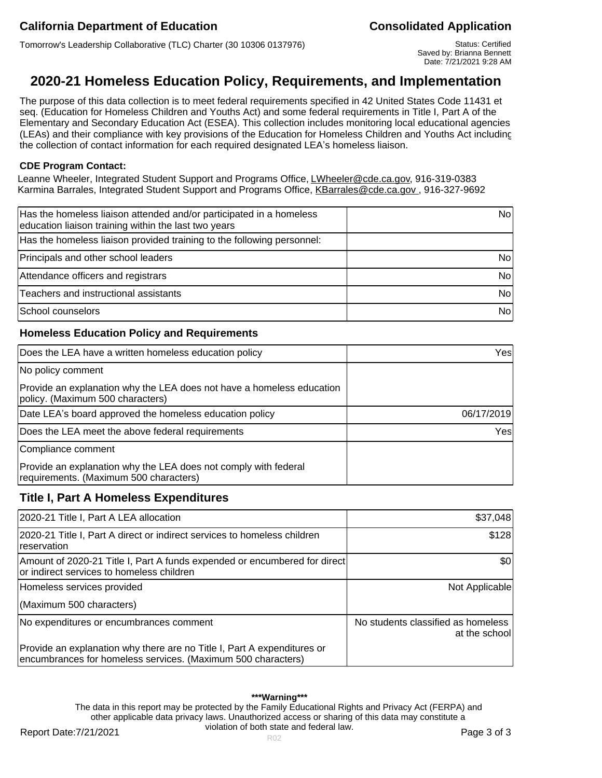Saved by: Brianna Bennett Date: 7/21/2021 9:28 AM

# **2020-21 Homeless Education Policy, Requirements, and Implementation**

The purpose of this data collection is to meet federal requirements specified in 42 United States Code 11431 et seq. (Education for Homeless Children and Youths Act) and some federal requirements in Title I, Part A of the Elementary and Secondary Education Act (ESEA). This collection includes monitoring local educational agencies (LEAs) and their compliance with key provisions of the Education for Homeless Children and Youths Act including the collection of contact information for each required designated LEA's homeless liaison.

### **CDE Program Contact:**

Leanne Wheeler, Integrated Student Support and Programs Office, LWheeler@cde.ca.gov, 916-319-0383 Karmina Barrales, Integrated Student Support and Programs Office, KBarrales@cde.ca.gov , 916-327-9692

| Has the homeless liaison attended and/or participated in a homeless<br>education liaison training within the last two years | No <sup>l</sup> |
|-----------------------------------------------------------------------------------------------------------------------------|-----------------|
| Has the homeless liaison provided training to the following personnel:                                                      |                 |
| Principals and other school leaders                                                                                         | No <sup>l</sup> |
| Attendance officers and registrars                                                                                          | No              |
| Teachers and instructional assistants                                                                                       | No              |
| School counselors                                                                                                           | No              |

### **Homeless Education Policy and Requirements**

| Does the LEA have a written homeless education policy                                                     | Yesl       |
|-----------------------------------------------------------------------------------------------------------|------------|
| No policy comment                                                                                         |            |
| Provide an explanation why the LEA does not have a homeless education<br>policy. (Maximum 500 characters) |            |
| Date LEA's board approved the homeless education policy                                                   | 06/17/2019 |
| Does the LEA meet the above federal requirements                                                          | Yes        |
| Compliance comment                                                                                        |            |
| Provide an explanation why the LEA does not comply with federal<br>requirements. (Maximum 500 characters) |            |

## **Title I, Part A Homeless Expenditures**

| 2020-21 Title I, Part A LEA allocation                                                                                                  | \$37,048                                            |
|-----------------------------------------------------------------------------------------------------------------------------------------|-----------------------------------------------------|
| 2020-21 Title I, Part A direct or indirect services to homeless children<br>reservation                                                 | \$128                                               |
| Amount of 2020-21 Title I, Part A funds expended or encumbered for direct<br>or indirect services to homeless children                  | \$0                                                 |
| Homeless services provided                                                                                                              | Not Applicable                                      |
| (Maximum 500 characters)                                                                                                                |                                                     |
| No expenditures or encumbrances comment                                                                                                 | No students classified as homeless<br>at the school |
| Provide an explanation why there are no Title I, Part A expenditures or<br>encumbrances for homeless services. (Maximum 500 characters) |                                                     |

#### **\*\*\*Warning\*\*\***